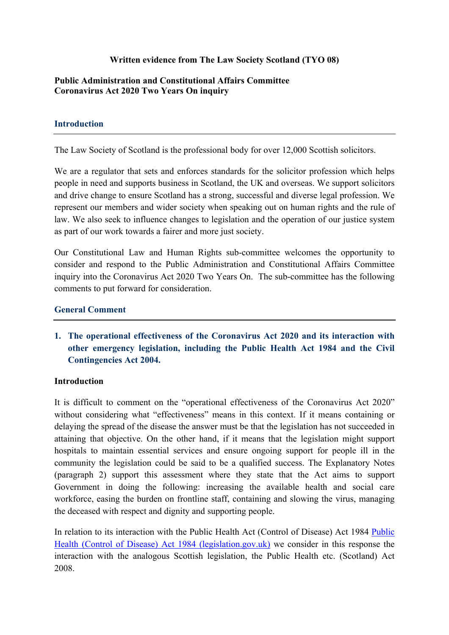### **Written evidence from The Law Society Scotland (TYO 08)**

#### **[Public](https://admin.committees.parliament.uk/Committee/Edit/327) [Administration](https://admin.committees.parliament.uk/Committee/Edit/327) [and](https://admin.committees.parliament.uk/Committee/Edit/327) [Constitutional](https://admin.committees.parliament.uk/Committee/Edit/327) [Affairs](https://admin.committees.parliament.uk/Committee/Edit/327) [Committee](https://admin.committees.parliament.uk/Committee/Edit/327) [Coronavirus](https://admin.committees.parliament.uk/Committee/327/CommitteeBusiness/Edit/1718) [Act](https://admin.committees.parliament.uk/Committee/327/CommitteeBusiness/Edit/1718) [2020](https://admin.committees.parliament.uk/Committee/327/CommitteeBusiness/Edit/1718) [Two](https://admin.committees.parliament.uk/Committee/327/CommitteeBusiness/Edit/1718) [Years](https://admin.committees.parliament.uk/Committee/327/CommitteeBusiness/Edit/1718) [On](https://admin.committees.parliament.uk/Committee/327/CommitteeBusiness/Edit/1718) inquiry**

#### **Introduction**

The Law Society of Scotland is the professional body for over 12,000 Scottish solicitors.

We are a regulator that sets and enforces standards for the solicitor profession which helps people in need and supports business in Scotland, the UK and overseas. We support solicitors and drive change to ensure Scotland has a strong, successful and diverse legal profession. We represent our members and wider society when speaking out on human rights and the rule of law. We also seek to influence changes to legislation and the operation of our justice system as part of our work towards a fairer and more just society.

Our Constitutional Law and Human Rights sub-committee welcomes the opportunity to consider and respond to the Public Administration and Constitutional Affairs Committee inquiry into the Coronavirus Act 2020 Two Years On. The sub-committee has the following comments to put forward for consideration.

#### **General Comment**

**1. The operational effectiveness of the Coronavirus Act 2020 and its interaction with other emergency legislation, including the Public Health Act 1984 and the Civil Contingencies Act 2004.**

#### **Introduction**

It is difficult to comment on the "operational effectiveness of the Coronavirus Act 2020" without considering what "effectiveness" means in this context. If it means containing or delaying the spread of the disease the answer must be that the legislation has not succeeded in attaining that objective. On the other hand, if it means that the legislation might support hospitals to maintain essential services and ensure ongoing support for people ill in the community the legislation could be said to be a qualified success. The Explanatory Notes (paragraph 2) support this assessment where they state that the Act aims to support Government in doing the following: increasing the available health and social care workforce, easing the burden on frontline staff, containing and slowing the virus, managing the deceased with respect and dignity and supporting people.

In relation to its interaction with the Public Health Act (Control of Disease) Act 1984 [Public](https://www.legislation.gov.uk/ukpga/1984/22/contents) [Health](https://www.legislation.gov.uk/ukpga/1984/22/contents) [\(Control](https://www.legislation.gov.uk/ukpga/1984/22/contents) [of](https://www.legislation.gov.uk/ukpga/1984/22/contents) [Disease\)](https://www.legislation.gov.uk/ukpga/1984/22/contents) [Act](https://www.legislation.gov.uk/ukpga/1984/22/contents) [1984](https://www.legislation.gov.uk/ukpga/1984/22/contents) [\(legislation.gov.uk\)](https://www.legislation.gov.uk/ukpga/1984/22/contents) we consider in this response the interaction with the analogous Scottish legislation, the Public Health etc. (Scotland) Act 2008.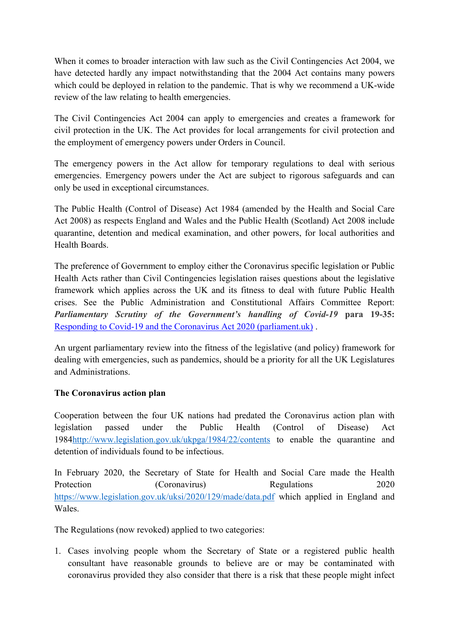When it comes to broader interaction with law such as the Civil Contingencies Act 2004, we have detected hardly any impact notwithstanding that the 2004 Act contains many powers which could be deployed in relation to the pandemic. That is why we recommend a UK-wide review of the law relating to health emergencies.

The Civil Contingencies Act 2004 can apply to emergencies and creates a framework for civil protection in the UK. The Act provides for local arrangements for civil protection and the employment of emergency powers under Orders in Council.

The emergency powers in the Act allow for temporary regulations to deal with serious emergencies. Emergency powers under the Act are subject to rigorous safeguards and can only be used in exceptional circumstances.

The Public Health (Control of Disease) Act 1984 (amended by the Health and Social Care Act 2008) as respects England and Wales and the Public Health (Scotland) Act 2008 include quarantine, detention and medical examination, and other powers, for local authorities and Health Boards.

The preference of Government to employ either the Coronavirus specific legislation or Public Health Acts rather than Civil Contingencies legislation raises questions about the legislative framework which applies across the UK and its fitness to deal with future Public Health crises. See the Public Administration and Constitutional Affairs Committee Report: *Parliamentary Scrutiny of the Government's handling of Covid-19* **para 19-35:** [Responding](https://committees.parliament.uk/publications/2459/documents/24384/default/) [to](https://committees.parliament.uk/publications/2459/documents/24384/default/) [Covid-19](https://committees.parliament.uk/publications/2459/documents/24384/default/) [and](https://committees.parliament.uk/publications/2459/documents/24384/default/) [the](https://committees.parliament.uk/publications/2459/documents/24384/default/) [Coronavirus](https://committees.parliament.uk/publications/2459/documents/24384/default/) [Act](https://committees.parliament.uk/publications/2459/documents/24384/default/) [2020](https://committees.parliament.uk/publications/2459/documents/24384/default/) [\(parliament.uk\)](https://committees.parliament.uk/publications/2459/documents/24384/default/) .

An urgent parliamentary review into the fitness of the legislative (and policy) framework for dealing with emergencies, such as pandemics, should be a priority for all the UK Legislatures and Administrations.

# **The Coronavirus action plan**

Cooperation between the four UK nations had predated the Coronavirus action plan with legislation passed under the Public Health (Control of Disease) Act 1984<http://www.legislation.gov.uk/ukpga/1984/22/contents> to enable the quarantine and detention of individuals found to be infectious.

In February 2020, the Secretary of State for Health and Social Care made the Health Protection (Coronavirus) Regulations 2020 <https://www.legislation.gov.uk/uksi/2020/129/made/data.pdf> which applied in England and Wales.

The Regulations (now revoked) applied to two categories:

1. Cases involving people whom the Secretary of State or a registered public health consultant have reasonable grounds to believe are or may be contaminated with coronavirus provided they also consider that there is a risk that these people might infect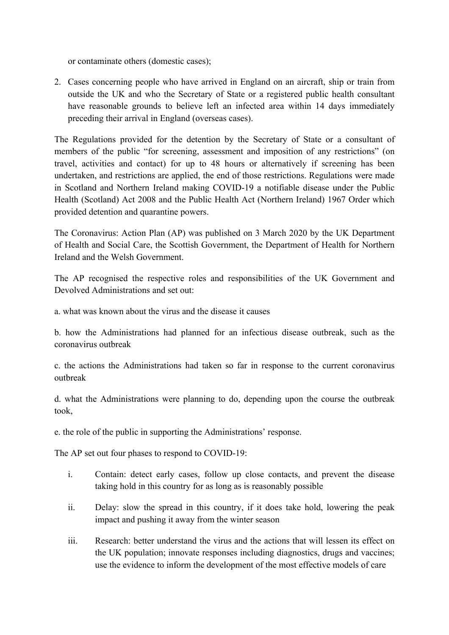or contaminate others (domestic cases);

2. Cases concerning people who have arrived in England on an aircraft, ship or train from outside the UK and who the Secretary of State or a registered public health consultant have reasonable grounds to believe left an infected area within 14 days immediately preceding their arrival in England (overseas cases).

The Regulations provided for the detention by the Secretary of State or a consultant of members of the public "for screening, assessment and imposition of any restrictions" (on travel, activities and contact) for up to 48 hours or alternatively if screening has been undertaken, and restrictions are applied, the end of those restrictions. Regulations were made in Scotland and Northern Ireland making COVID-19 a notifiable disease under the Public Health (Scotland) Act 2008 and the Public Health Act (Northern Ireland) 1967 Order which provided detention and quarantine powers.

The Coronavirus: Action Plan (AP) was published on 3 March 2020 by the UK Department of Health and Social Care, the Scottish Government, the Department of Health for Northern Ireland and the Welsh Government.

The AP recognised the respective roles and responsibilities of the UK Government and Devolved Administrations and set out:

a. what was known about the virus and the disease it causes

b. how the Administrations had planned for an infectious disease outbreak, such as the coronavirus outbreak

c. the actions the Administrations had taken so far in response to the current coronavirus outbreak

d. what the Administrations were planning to do, depending upon the course the outbreak took,

e. the role of the public in supporting the Administrations' response.

The AP set out four phases to respond to COVID-19:

- i. Contain: detect early cases, follow up close contacts, and prevent the disease taking hold in this country for as long as is reasonably possible
- ii. Delay: slow the spread in this country, if it does take hold, lowering the peak impact and pushing it away from the winter season
- iii. Research: better understand the virus and the actions that will lessen its effect on the UK population; innovate responses including diagnostics, drugs and vaccines; use the evidence to inform the development of the most effective models of care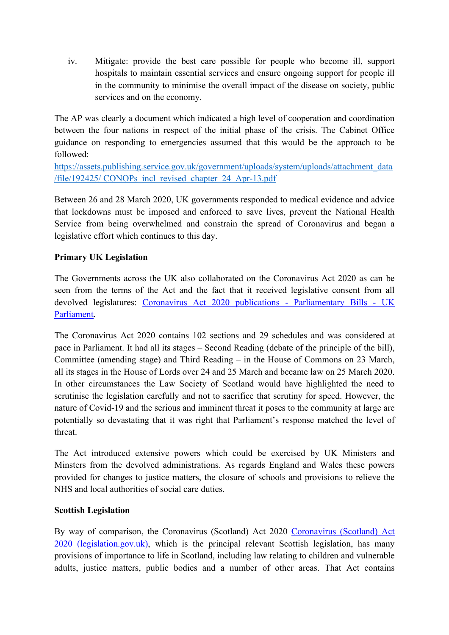iv. Mitigate: provide the best care possible for people who become ill, support hospitals to maintain essential services and ensure ongoing support for people ill in the community to minimise the overall impact of the disease on society, public services and on the economy.

The AP was clearly a document which indicated a high level of cooperation and coordination between the four nations in respect of the initial phase of the crisis. The Cabinet Office guidance on responding to emergencies assumed that this would be the approach to be followed:

https://assets.publishing.service.gov.uk/government/uploads/system/uploads/attachment\_data /file/192425/ CONOPs\_incl\_revised\_chapter\_24\_Apr-13.pdf

Between 26 and 28 March 2020, UK governments responded to medical evidence and advice that lockdowns must be imposed and enforced to save lives, prevent the National Health Service from being overwhelmed and constrain the spread of Coronavirus and began a legislative effort which continues to this day.

# **Primary UK Legislation**

The Governments across the UK also collaborated on the Coronavirus Act 2020 as can be seen from the terms of the Act and the fact that it received legislative consent from all devolved legislatures: [Coronavirus](https://bills.parliament.uk/bills/2731/publications) [Act](https://bills.parliament.uk/bills/2731/publications) [2020](https://bills.parliament.uk/bills/2731/publications) [publications](https://bills.parliament.uk/bills/2731/publications) [-](https://bills.parliament.uk/bills/2731/publications) [Parliamentary](https://bills.parliament.uk/bills/2731/publications) [Bills](https://bills.parliament.uk/bills/2731/publications) [-](https://bills.parliament.uk/bills/2731/publications) [UK](https://bills.parliament.uk/bills/2731/publications) [Parliament.](https://bills.parliament.uk/bills/2731/publications)

The Coronavirus Act 2020 contains 102 sections and 29 schedules and was considered at pace in Parliament. It had all its stages – Second Reading (debate of the principle of the bill), Committee (amending stage) and Third Reading – in the House of Commons on 23 March, all its stages in the House of Lords over 24 and 25 March and became law on 25 March 2020. In other circumstances the Law Society of Scotland would have highlighted the need to scrutinise the legislation carefully and not to sacrifice that scrutiny for speed. However, the nature of Covid-19 and the serious and imminent threat it poses to the community at large are potentially so devastating that it was right that Parliament's response matched the level of threat.

The Act introduced extensive powers which could be exercised by UK Ministers and Minsters from the devolved administrations. As regards England and Wales these powers provided for changes to justice matters, the closure of schools and provisions to relieve the NHS and local authorities of social care duties.

### **Scottish Legislation**

By way of comparison, the Coronavirus (Scotland) Act 2020 [Coronavirus](https://www.legislation.gov.uk/asp/2020/7/contents) [\(Scotland\)](https://www.legislation.gov.uk/asp/2020/7/contents) [Act](https://www.legislation.gov.uk/asp/2020/7/contents) [2020](https://www.legislation.gov.uk/asp/2020/7/contents) [\(legislation.gov.uk\)](https://www.legislation.gov.uk/asp/2020/7/contents), which is the principal relevant Scottish legislation, has many provisions of importance to life in Scotland, including law relating to children and vulnerable adults, justice matters, public bodies and a number of other areas. That Act contains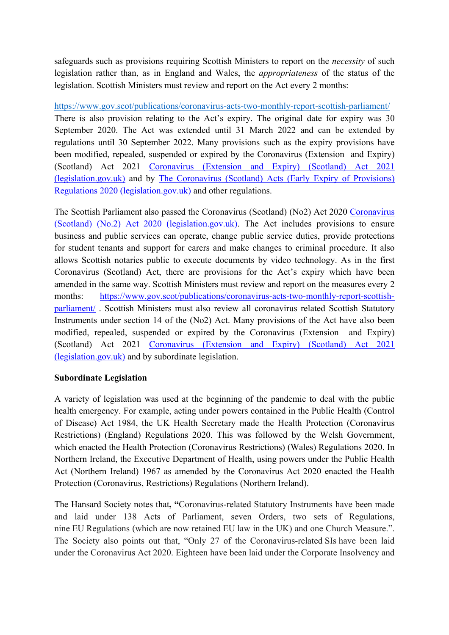safeguards such as provisions requiring Scottish Ministers to report on the *necessity* of such legislation rather than, as in England and Wales, the *appropriateness* of the status of the legislation. Scottish Ministers must review and report on the Act every 2 months:

<https://www.gov.scot/publications/coronavirus-acts-two-monthly-report-scottish-parliament/> There is also provision relating to the Act's expiry. The original date for expiry was 30 September 2020. The Act was extended until 31 March 2022 and can be extended by regulations until 30 September 2022. Many provisions such as the expiry provisions have been modified, repealed, suspended or expired by the Coronavirus (Extension and Expiry) (Scotland) Act 2021 [Coronavirus](https://www.legislation.gov.uk/asp/2021/19/contents/enacted) [\(Extension](https://www.legislation.gov.uk/asp/2021/19/contents/enacted) [and](https://www.legislation.gov.uk/asp/2021/19/contents/enacted) [Expiry\)](https://www.legislation.gov.uk/asp/2021/19/contents/enacted) [\(Scotland\)](https://www.legislation.gov.uk/asp/2021/19/contents/enacted) [Act](https://www.legislation.gov.uk/asp/2021/19/contents/enacted) [2021](https://www.legislation.gov.uk/asp/2021/19/contents/enacted) [\(legislation.gov.uk\)](https://www.legislation.gov.uk/asp/2021/19/contents/enacted) and by [The](https://www.legislation.gov.uk/ssi/2020/249/made) [Coronavirus](https://www.legislation.gov.uk/ssi/2020/249/made) [\(Scotland\)](https://www.legislation.gov.uk/ssi/2020/249/made) [Acts](https://www.legislation.gov.uk/ssi/2020/249/made) [\(Early](https://www.legislation.gov.uk/ssi/2020/249/made) [Expiry](https://www.legislation.gov.uk/ssi/2020/249/made) [of](https://www.legislation.gov.uk/ssi/2020/249/made) [Provisions\)](https://www.legislation.gov.uk/ssi/2020/249/made) [Regulations](https://www.legislation.gov.uk/ssi/2020/249/made) [2020](https://www.legislation.gov.uk/ssi/2020/249/made) [\(legislation.gov.uk\)](https://www.legislation.gov.uk/ssi/2020/249/made) and other regulations.

The Scottish Parliament also passed the Coronavirus (Scotland) (No2) Act 2020 [Coronavirus](https://www.legislation.gov.uk/asp/2020/10/contents/enacted) [\(Scotland\)](https://www.legislation.gov.uk/asp/2020/10/contents/enacted) [\(No.2\)](https://www.legislation.gov.uk/asp/2020/10/contents/enacted) [Act](https://www.legislation.gov.uk/asp/2020/10/contents/enacted) [2020](https://www.legislation.gov.uk/asp/2020/10/contents/enacted) [\(legislation.gov.uk\).](https://www.legislation.gov.uk/asp/2020/10/contents/enacted) The Act includes provisions to ensure business and public services can operate, change public service duties, provide protections for student tenants and support for carers and make changes to criminal procedure. It also allows Scottish notaries public to execute documents by video technology. As in the first Coronavirus (Scotland) Act, there are provisions for the Act's expiry which have been amended in the same way. Scottish Ministers must review and report on the measures every 2 months: [https://www.gov.scot/publications/coronavirus-acts-two-monthly-report-scottish](https://www.gov.scot/publications/coronavirus-acts-two-monthly-report-scottish-parliament/)[parliament/](https://www.gov.scot/publications/coronavirus-acts-two-monthly-report-scottish-parliament/) . Scottish Ministers must also review all coronavirus related Scottish Statutory Instruments under section 14 of the (No2) Act. Many provisions of the Act have also been modified, repealed, suspended or expired by the Coronavirus (Extension and Expiry) (Scotland) Act 2021 [Coronavirus](https://www.legislation.gov.uk/asp/2021/19/contents/enacted) [\(Extension](https://www.legislation.gov.uk/asp/2021/19/contents/enacted) [and](https://www.legislation.gov.uk/asp/2021/19/contents/enacted) [Expiry\)](https://www.legislation.gov.uk/asp/2021/19/contents/enacted) [\(Scotland\)](https://www.legislation.gov.uk/asp/2021/19/contents/enacted) [Act](https://www.legislation.gov.uk/asp/2021/19/contents/enacted) [2021](https://www.legislation.gov.uk/asp/2021/19/contents/enacted) [\(legislation.gov.uk\)](https://www.legislation.gov.uk/asp/2021/19/contents/enacted) and by subordinate legislation.

### **Subordinate Legislation**

A variety of legislation was used at the beginning of the pandemic to deal with the public health emergency. For example, acting under powers contained in the Public Health (Control of Disease) Act 1984, the UK Health Secretary made the Health Protection (Coronavirus Restrictions) (England) Regulations 2020. This was followed by the Welsh Government, which enacted the Health Protection (Coronavirus Restrictions) (Wales) Regulations 2020. In Northern Ireland, the Executive Department of Health, using powers under the Public Health Act (Northern Ireland) 1967 as amended by the Coronavirus Act 2020 enacted the Health Protection (Coronavirus, Restrictions) Regulations (Northern Ireland).

The Hansard Society notes that**, "**Coronavirus-related Statutory Instruments have been made and laid under 138 Acts of Parliament, seven Orders, two sets of Regulations, nine EU Regulations (which are now retained EU law in the UK) and one Church Measure.". The Society also points out that, "Only 27 of the Coronavirus-related SIs have been laid under the Coronavirus Act 2020. Eighteen have been laid under the Corporate Insolvency and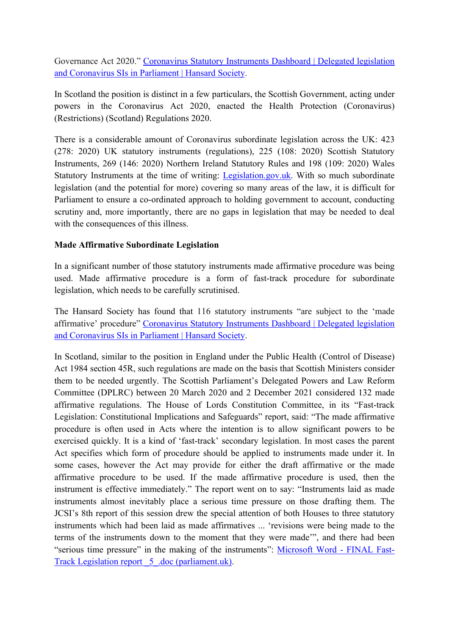Governance Act 2020." [Coronavirus](https://www.hansardsociety.org.uk/publications/data/coronavirus-statutory-instruments-dashboard) [Statutory](https://www.hansardsociety.org.uk/publications/data/coronavirus-statutory-instruments-dashboard) [Instruments](https://www.hansardsociety.org.uk/publications/data/coronavirus-statutory-instruments-dashboard) [Dashboard](https://www.hansardsociety.org.uk/publications/data/coronavirus-statutory-instruments-dashboard) [|](https://www.hansardsociety.org.uk/publications/data/coronavirus-statutory-instruments-dashboard) [Delegated](https://www.hansardsociety.org.uk/publications/data/coronavirus-statutory-instruments-dashboard) [legislation](https://www.hansardsociety.org.uk/publications/data/coronavirus-statutory-instruments-dashboard) [and](https://www.hansardsociety.org.uk/publications/data/coronavirus-statutory-instruments-dashboard) [Coronavirus](https://www.hansardsociety.org.uk/publications/data/coronavirus-statutory-instruments-dashboard) [SIs](https://www.hansardsociety.org.uk/publications/data/coronavirus-statutory-instruments-dashboard) [in](https://www.hansardsociety.org.uk/publications/data/coronavirus-statutory-instruments-dashboard) [Parliament](https://www.hansardsociety.org.uk/publications/data/coronavirus-statutory-instruments-dashboard) [|](https://www.hansardsociety.org.uk/publications/data/coronavirus-statutory-instruments-dashboard) [Hansard](https://www.hansardsociety.org.uk/publications/data/coronavirus-statutory-instruments-dashboard) [Society.](https://www.hansardsociety.org.uk/publications/data/coronavirus-statutory-instruments-dashboard)

In Scotland the position is distinct in a few particulars, the Scottish Government, acting under powers in the Coronavirus Act 2020, enacted the Health Protection (Coronavirus) (Restrictions) (Scotland) Regulations 2020.

There is a considerable amount of Coronavirus subordinate legislation across the UK: 423 (278: 2020) UK statutory instruments (regulations), 225 (108: 2020) Scottish Statutory Instruments, 269 (146: 2020) Northern Ireland Statutory Rules and 198 (109: 2020) Wales Statutory Instruments at the time of writing: [Legislation.gov.uk](https://www.legislation.gov.uk/secondary?title=coronavirus%20OR%20COVID). With so much subordinate legislation (and the potential for more) covering so many areas of the law, it is difficult for Parliament to ensure a co-ordinated approach to holding government to account, conducting scrutiny and, more importantly, there are no gaps in legislation that may be needed to deal with the consequences of this illness.

### **Made Affirmative Subordinate Legislation**

In a significant number of those statutory instruments made affirmative procedure was being used. Made affirmative procedure is a form of fast-track procedure for subordinate legislation, which needs to be carefully scrutinised.

The Hansard Society has found that 116 statutory instruments "are subject to the 'made affirmative' procedure" [Coronavirus](https://www.hansardsociety.org.uk/publications/data/coronavirus-statutory-instruments-dashboard) [Statutory](https://www.hansardsociety.org.uk/publications/data/coronavirus-statutory-instruments-dashboard) [Instruments](https://www.hansardsociety.org.uk/publications/data/coronavirus-statutory-instruments-dashboard) [Dashboard](https://www.hansardsociety.org.uk/publications/data/coronavirus-statutory-instruments-dashboard) [|](https://www.hansardsociety.org.uk/publications/data/coronavirus-statutory-instruments-dashboard) [Delegated](https://www.hansardsociety.org.uk/publications/data/coronavirus-statutory-instruments-dashboard) [legislation](https://www.hansardsociety.org.uk/publications/data/coronavirus-statutory-instruments-dashboard) [and](https://www.hansardsociety.org.uk/publications/data/coronavirus-statutory-instruments-dashboard) [Coronavirus](https://www.hansardsociety.org.uk/publications/data/coronavirus-statutory-instruments-dashboard) [SIs](https://www.hansardsociety.org.uk/publications/data/coronavirus-statutory-instruments-dashboard) [in](https://www.hansardsociety.org.uk/publications/data/coronavirus-statutory-instruments-dashboard) [Parliament](https://www.hansardsociety.org.uk/publications/data/coronavirus-statutory-instruments-dashboard) [|](https://www.hansardsociety.org.uk/publications/data/coronavirus-statutory-instruments-dashboard) [Hansard](https://www.hansardsociety.org.uk/publications/data/coronavirus-statutory-instruments-dashboard) [Society.](https://www.hansardsociety.org.uk/publications/data/coronavirus-statutory-instruments-dashboard)

In Scotland, similar to the position in England under the Public Health (Control of Disease) Act 1984 section 45R, such regulations are made on the basis that Scottish Ministers consider them to be needed urgently. The Scottish Parliament's Delegated Powers and Law Reform Committee (DPLRC) between 20 March 2020 and 2 December 2021 considered 132 made affirmative regulations. The House of Lords Constitution Committee, in its "Fast-track Legislation: Constitutional Implications and Safeguards" report, said: "The made affirmative procedure is often used in Acts where the intention is to allow significant powers to be exercised quickly. It is a kind of 'fast-track' secondary legislation. In most cases the parent Act specifies which form of procedure should be applied to instruments made under it. In some cases, however the Act may provide for either the draft affirmative or the made affirmative procedure to be used. If the made affirmative procedure is used, then the instrument is effective immediately." The report went on to say: "Instruments laid as made instruments almost inevitably place a serious time pressure on those drafting them. The JCSI's 8th report of this session drew the special attention of both Houses to three statutory instruments which had been laid as made affirmatives ... 'revisions were being made to the terms of the instruments down to the moment that they were made'", and there had been "serious time pressure" in the making of the instruments": [Microsoft](https://publications.parliament.uk/pa/ld200809/ldselect/ldconst/116/116.pdf#:~:text=8%20FAST%20TRACK%20LEGISLATION%3A%20CONSTITUTIONAL%20IMPLICATIONS%20AND%20SAFEGUARDS,relate%20to%20the%20use%20of%20a%20fast-track%20procedure.) [Word](https://publications.parliament.uk/pa/ld200809/ldselect/ldconst/116/116.pdf#:~:text=8%20FAST%20TRACK%20LEGISLATION%3A%20CONSTITUTIONAL%20IMPLICATIONS%20AND%20SAFEGUARDS,relate%20to%20the%20use%20of%20a%20fast-track%20procedure.) [-](https://publications.parliament.uk/pa/ld200809/ldselect/ldconst/116/116.pdf#:~:text=8%20FAST%20TRACK%20LEGISLATION%3A%20CONSTITUTIONAL%20IMPLICATIONS%20AND%20SAFEGUARDS,relate%20to%20the%20use%20of%20a%20fast-track%20procedure.) [FINAL](https://publications.parliament.uk/pa/ld200809/ldselect/ldconst/116/116.pdf#:~:text=8%20FAST%20TRACK%20LEGISLATION%3A%20CONSTITUTIONAL%20IMPLICATIONS%20AND%20SAFEGUARDS,relate%20to%20the%20use%20of%20a%20fast-track%20procedure.) [Fast-](https://publications.parliament.uk/pa/ld200809/ldselect/ldconst/116/116.pdf#:~:text=8%20FAST%20TRACK%20LEGISLATION%3A%20CONSTITUTIONAL%20IMPLICATIONS%20AND%20SAFEGUARDS,relate%20to%20the%20use%20of%20a%20fast-track%20procedure.)[Track](https://publications.parliament.uk/pa/ld200809/ldselect/ldconst/116/116.pdf#:~:text=8%20FAST%20TRACK%20LEGISLATION%3A%20CONSTITUTIONAL%20IMPLICATIONS%20AND%20SAFEGUARDS,relate%20to%20the%20use%20of%20a%20fast-track%20procedure.) [Legislation](https://publications.parliament.uk/pa/ld200809/ldselect/ldconst/116/116.pdf#:~:text=8%20FAST%20TRACK%20LEGISLATION%3A%20CONSTITUTIONAL%20IMPLICATIONS%20AND%20SAFEGUARDS,relate%20to%20the%20use%20of%20a%20fast-track%20procedure.) [report](https://publications.parliament.uk/pa/ld200809/ldselect/ldconst/116/116.pdf#:~:text=8%20FAST%20TRACK%20LEGISLATION%3A%20CONSTITUTIONAL%20IMPLICATIONS%20AND%20SAFEGUARDS,relate%20to%20the%20use%20of%20a%20fast-track%20procedure.)  $\,$  5  $\,$  doc [\(parliament.uk\)](https://publications.parliament.uk/pa/ld200809/ldselect/ldconst/116/116.pdf#:~:text=8%20FAST%20TRACK%20LEGISLATION%3A%20CONSTITUTIONAL%20IMPLICATIONS%20AND%20SAFEGUARDS,relate%20to%20the%20use%20of%20a%20fast-track%20procedure.).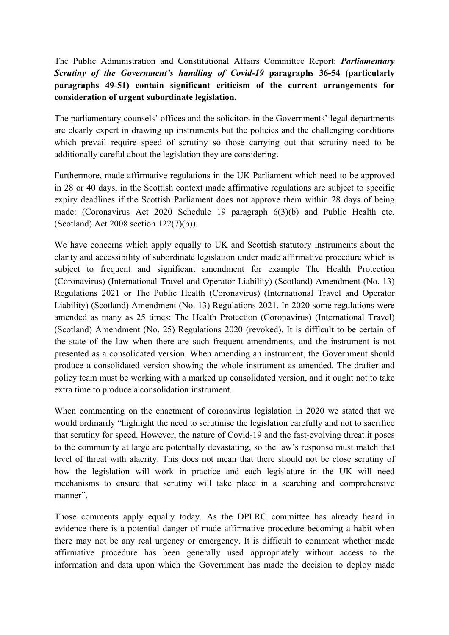The Public Administration and Constitutional Affairs Committee Report: *Parliamentary Scrutiny of the Government's handling of Covid-19* **paragraphs 36-54 (particularly paragraphs 49-51) contain significant criticism of the current arrangements for consideration of urgent subordinate legislation.**

The parliamentary counsels' offices and the solicitors in the Governments' legal departments are clearly expert in drawing up instruments but the policies and the challenging conditions which prevail require speed of scrutiny so those carrying out that scrutiny need to be additionally careful about the legislation they are considering.

Furthermore, made affirmative regulations in the UK Parliament which need to be approved in 28 or 40 days, in the Scottish context made affirmative regulations are subject to specific expiry deadlines if the Scottish Parliament does not approve them within 28 days of being made: (Coronavirus Act 2020 Schedule 19 paragraph 6(3)(b) and Public Health etc. (Scotland) Act 2008 section 122(7)(b)).

We have concerns which apply equally to UK and Scottish statutory instruments about the clarity and accessibility of subordinate legislation under made affirmative procedure which is subject to frequent and significant amendment for example The Health Protection (Coronavirus) (International Travel and Operator Liability) (Scotland) Amendment (No. 13) Regulations 2021 or The Public Health (Coronavirus) (International Travel and Operator Liability) (Scotland) Amendment (No. 13) Regulations 2021. In 2020 some regulations were amended as many as 25 times: The Health Protection (Coronavirus) (International Travel) (Scotland) Amendment (No. 25) Regulations 2020 (revoked). It is difficult to be certain of the state of the law when there are such frequent amendments, and the instrument is not presented as a consolidated version. When amending an instrument, the Government should produce a consolidated version showing the whole instrument as amended. The drafter and policy team must be working with a marked up consolidated version, and it ought not to take extra time to produce a consolidation instrument.

When commenting on the enactment of coronavirus legislation in 2020 we stated that we would ordinarily "highlight the need to scrutinise the legislation carefully and not to sacrifice that scrutiny for speed. However, the nature of Covid-19 and the fast-evolving threat it poses to the community at large are potentially devastating, so the law's response must match that level of threat with alacrity. This does not mean that there should not be close scrutiny of how the legislation will work in practice and each legislature in the UK will need mechanisms to ensure that scrutiny will take place in a searching and comprehensive manner".

Those comments apply equally today. As the DPLRC committee has already heard in evidence there is a potential danger of made affirmative procedure becoming a habit when there may not be any real urgency or emergency. It is difficult to comment whether made affirmative procedure has been generally used appropriately without access to the information and data upon which the Government has made the decision to deploy made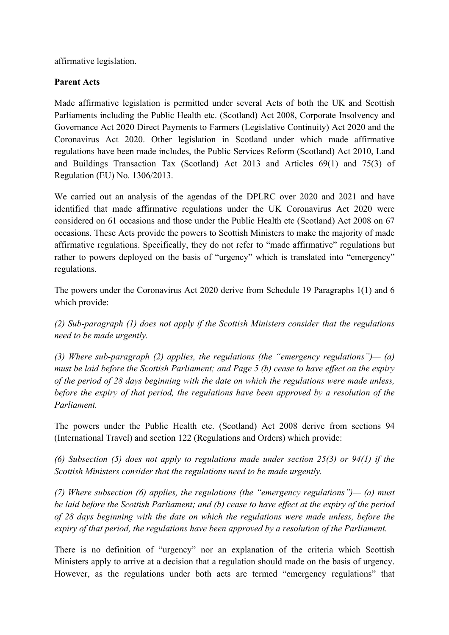affirmative legislation.

# **Parent Acts**

Made affirmative legislation is permitted under several Acts of both the UK and Scottish Parliaments including the Public Health etc. (Scotland) Act 2008, Corporate Insolvency and Governance Act 2020 Direct Payments to Farmers (Legislative Continuity) Act 2020 and the Coronavirus Act 2020. Other legislation in Scotland under which made affirmative regulations have been made includes, the Public Services Reform (Scotland) Act 2010, Land and Buildings Transaction Tax (Scotland) Act 2013 and Articles 69(1) and 75(3) of Regulation (EU) No. 1306/2013.

We carried out an analysis of the agendas of the DPLRC over 2020 and 2021 and have identified that made affirmative regulations under the UK Coronavirus Act 2020 were considered on 61 occasions and those under the Public Health etc (Scotland) Act 2008 on 67 occasions. These Acts provide the powers to Scottish Ministers to make the majority of made affirmative regulations. Specifically, they do not refer to "made affirmative" regulations but rather to powers deployed on the basis of "urgency" which is translated into "emergency" regulations.

The powers under the Coronavirus Act 2020 derive from Schedule 19 Paragraphs 1(1) and 6 which provide:

*(2) Sub-paragraph (1) does not apply if the Scottish Ministers consider that the regulations need to be made urgently.*

*(3) Where sub-paragraph (2) applies, the regulations (the "emergency regulations")— (a) must be laid before the Scottish Parliament; and Page 5 (b) cease to have effect on the expiry of the period of 28 days beginning with the date on which the regulations were made unless, before the expiry of that period, the regulations have been approved by a resolution of the Parliament.*

The powers under the Public Health etc. (Scotland) Act 2008 derive from sections 94 (International Travel) and section 122 (Regulations and Orders) which provide:

*(6) Subsection (5) does not apply to regulations made under section 25(3) or 94(1) if the Scottish Ministers consider that the regulations need to be made urgently.*

*(7) Where subsection (6) applies, the regulations (the "emergency regulations")— (a) must be laid before the Scottish Parliament; and (b) cease to have effect at the expiry of the period of 28 days beginning with the date on which the regulations were made unless, before the expiry of that period, the regulations have been approved by a resolution of the Parliament.*

There is no definition of "urgency" nor an explanation of the criteria which Scottish Ministers apply to arrive at a decision that a regulation should made on the basis of urgency. However, as the regulations under both acts are termed "emergency regulations" that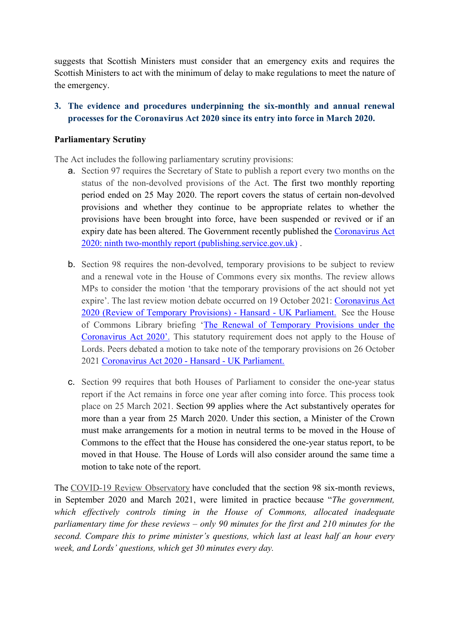suggests that Scottish Ministers must consider that an emergency exits and requires the Scottish Ministers to act with the minimum of delay to make regulations to meet the nature of the emergency.

# **3. The evidence and procedures underpinning the six-monthly and annual renewal processes for the Coronavirus Act 2020 since its entry into force in March 2020.**

### **Parliamentary Scrutiny**

The Act includes the following parliamentary scrutiny provisions:

- a. Section 97 requires the Secretary of State to publish a report every two months on the status of the non-devolved provisions of the Act. The first two monthly reporting period ended on 25 May 2020. The report covers the status of certain non-devolved provisions and whether they continue to be appropriate relates to whether the provisions have been brought into force, have been suspended or revived or if an expiry date has been altered. The Government recently published the [Coronavirus](https://assets.publishing.service.gov.uk/government/uploads/system/uploads/attachment_data/file/1019668/coronavirus-act-2020-ninth-two-monthly-report.pdf) [Act](https://assets.publishing.service.gov.uk/government/uploads/system/uploads/attachment_data/file/1019668/coronavirus-act-2020-ninth-two-monthly-report.pdf) [2020:](https://assets.publishing.service.gov.uk/government/uploads/system/uploads/attachment_data/file/1019668/coronavirus-act-2020-ninth-two-monthly-report.pdf) [ninth](https://assets.publishing.service.gov.uk/government/uploads/system/uploads/attachment_data/file/1019668/coronavirus-act-2020-ninth-two-monthly-report.pdf) [two-monthly](https://assets.publishing.service.gov.uk/government/uploads/system/uploads/attachment_data/file/1019668/coronavirus-act-2020-ninth-two-monthly-report.pdf) [report](https://assets.publishing.service.gov.uk/government/uploads/system/uploads/attachment_data/file/1019668/coronavirus-act-2020-ninth-two-monthly-report.pdf) [\(publishing.service.gov.uk\)](https://assets.publishing.service.gov.uk/government/uploads/system/uploads/attachment_data/file/1019668/coronavirus-act-2020-ninth-two-monthly-report.pdf) .
- b. Section 98 requires the non-devolved, temporary provisions to be subject to review and a renewal vote in the House of Commons every six months. The review allows MPs to consider the motion 'that the temporary provisions of the act should not yet expire'. The last review motion debate occurred on 19 October 2021: [Coronavirus](https://hansard.parliament.uk/commons/2021-10-19/debates/DE41995A-64A6-4CFE-BF4C-552F6875D6C6/CoronavirusAct2020(ReviewOfTemporaryProvisions)(No3)) [Act](https://hansard.parliament.uk/commons/2021-10-19/debates/DE41995A-64A6-4CFE-BF4C-552F6875D6C6/CoronavirusAct2020(ReviewOfTemporaryProvisions)(No3)) [2020](https://hansard.parliament.uk/commons/2021-10-19/debates/DE41995A-64A6-4CFE-BF4C-552F6875D6C6/CoronavirusAct2020(ReviewOfTemporaryProvisions)(No3)) [\(Review](https://hansard.parliament.uk/commons/2021-10-19/debates/DE41995A-64A6-4CFE-BF4C-552F6875D6C6/CoronavirusAct2020(ReviewOfTemporaryProvisions)(No3)) [of](https://hansard.parliament.uk/commons/2021-10-19/debates/DE41995A-64A6-4CFE-BF4C-552F6875D6C6/CoronavirusAct2020(ReviewOfTemporaryProvisions)(No3)) [Temporary](https://hansard.parliament.uk/commons/2021-10-19/debates/DE41995A-64A6-4CFE-BF4C-552F6875D6C6/CoronavirusAct2020(ReviewOfTemporaryProvisions)(No3)) [Provisions\)](https://hansard.parliament.uk/commons/2021-10-19/debates/DE41995A-64A6-4CFE-BF4C-552F6875D6C6/CoronavirusAct2020(ReviewOfTemporaryProvisions)(No3)) [-](https://hansard.parliament.uk/commons/2021-10-19/debates/DE41995A-64A6-4CFE-BF4C-552F6875D6C6/CoronavirusAct2020(ReviewOfTemporaryProvisions)(No3)) [Hansard](https://hansard.parliament.uk/commons/2021-10-19/debates/DE41995A-64A6-4CFE-BF4C-552F6875D6C6/CoronavirusAct2020(ReviewOfTemporaryProvisions)(No3)) [-](https://hansard.parliament.uk/commons/2021-10-19/debates/DE41995A-64A6-4CFE-BF4C-552F6875D6C6/CoronavirusAct2020(ReviewOfTemporaryProvisions)(No3)) [UK](https://hansard.parliament.uk/commons/2021-10-19/debates/DE41995A-64A6-4CFE-BF4C-552F6875D6C6/CoronavirusAct2020(ReviewOfTemporaryProvisions)(No3)) [Parliament.](https://hansard.parliament.uk/commons/2021-10-19/debates/DE41995A-64A6-4CFE-BF4C-552F6875D6C6/CoronavirusAct2020(ReviewOfTemporaryProvisions)(No3)) See the House of Commons Library briefing '[The](https://commonslibrary.parliament.uk/research-briefings/cbp-9342/) [Renewal](https://commonslibrary.parliament.uk/research-briefings/cbp-9342/) [of](https://commonslibrary.parliament.uk/research-briefings/cbp-9342/) [Temporary](https://commonslibrary.parliament.uk/research-briefings/cbp-9342/) [Provisions](https://commonslibrary.parliament.uk/research-briefings/cbp-9342/) [under](https://commonslibrary.parliament.uk/research-briefings/cbp-9342/) [the](https://commonslibrary.parliament.uk/research-briefings/cbp-9342/) [Coronavirus](https://commonslibrary.parliament.uk/research-briefings/cbp-9342/) [Act](https://commonslibrary.parliament.uk/research-briefings/cbp-9342/) [2020](https://commonslibrary.parliament.uk/research-briefings/cbp-9342/)'. This statutory requirement does not apply to the House of Lords. Peers debated a motion to take note of the temporary provisions on 26 October 2021 [Coronavirus](https://hansard.parliament.uk/Lords/2021-10-26/debates/C846C077-0A96-4938-A285-CAAA8295D38D/CoronavirusAct2020) [Act](https://hansard.parliament.uk/Lords/2021-10-26/debates/C846C077-0A96-4938-A285-CAAA8295D38D/CoronavirusAct2020) [2020](https://hansard.parliament.uk/Lords/2021-10-26/debates/C846C077-0A96-4938-A285-CAAA8295D38D/CoronavirusAct2020) [-](https://hansard.parliament.uk/Lords/2021-10-26/debates/C846C077-0A96-4938-A285-CAAA8295D38D/CoronavirusAct2020) [Hansard](https://hansard.parliament.uk/Lords/2021-10-26/debates/C846C077-0A96-4938-A285-CAAA8295D38D/CoronavirusAct2020) [-](https://hansard.parliament.uk/Lords/2021-10-26/debates/C846C077-0A96-4938-A285-CAAA8295D38D/CoronavirusAct2020) [UK](https://hansard.parliament.uk/Lords/2021-10-26/debates/C846C077-0A96-4938-A285-CAAA8295D38D/CoronavirusAct2020) [Parliament.](https://hansard.parliament.uk/Lords/2021-10-26/debates/C846C077-0A96-4938-A285-CAAA8295D38D/CoronavirusAct2020)
- c. Section 99 requires that both Houses of Parliament to consider the one-year status report if the Act remains in force one year after coming into force. This process took place on 25 March 2021. Section 99 applies where the Act substantively operates for more than a year from 25 March 2020. Under this section, a Minister of the Crown must make arrangements for a motion in neutral terms to be moved in the House of Commons to the effect that the House has considered the one-year status report, to be moved in that House. The House of Lords will also consider around the same time a motion to take note of the report.

The [COVID-19](http://www.birmingham.ac.uk/cvro) [Review](http://www.birmingham.ac.uk/cvro) [Observatory](http://www.birmingham.ac.uk/cvro) have concluded that the section 98 six-month reviews, in September 2020 and March 2021, were limited in practice because "*The government, which effectively controls timing in the House of Commons, allocated inadequate parliamentary time for these reviews – only 90 minutes for the first and 210 minutes for the second. Compare this to prime minister's questions, which last at least half an hour every week, and Lords' questions, which get 30 minutes every day.*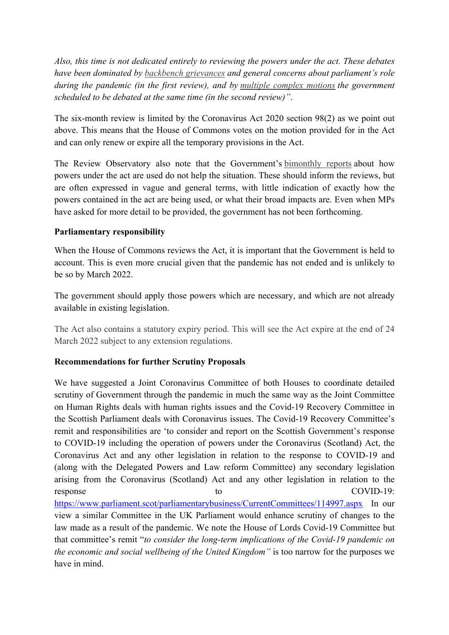*Also, this time is not dedicated entirely to reviewing the powers under the act. These debates have been dominated by [backbench](https://ukconstitutionallaw.org/2021/03/25/fiona-de-londras-six-monthly-votes-on-the-coronavirus-act-2020-a-meaningful-mode-of-review/) [grievances](https://ukconstitutionallaw.org/2021/03/25/fiona-de-londras-six-monthly-votes-on-the-coronavirus-act-2020-a-meaningful-mode-of-review/) and general concerns about parliament's role during the pandemic (in the first review), and by [multiple](https://onlinelibrary.wiley.com/doi/epdf/10.1111/1467-923X.13048) [complex](https://onlinelibrary.wiley.com/doi/epdf/10.1111/1467-923X.13048) [motions](https://onlinelibrary.wiley.com/doi/epdf/10.1111/1467-923X.13048) the government scheduled to be debated at the same time (in the second review)"*.

The six-month review is limited by the Coronavirus Act 2020 section 98(2) as we point out above. This means that the House of Commons votes on the motion provided for in the Act and can only renew or expire all the temporary provisions in the Act.

The Review Observatory also note that the Government's [bimonthly](https://www.gov.uk/government/collections/coronavirus-act-two-monthly-reports) [reports](https://www.gov.uk/government/collections/coronavirus-act-two-monthly-reports) about how powers under the act are used do not help the situation. These should inform the reviews, but are often expressed in vague and general terms, with little indication of exactly how the powers contained in the act are being used, or what their broad impacts are. Even when MPs have asked for more detail to be provided, the government has not been forthcoming.

### **Parliamentary responsibility**

When the House of Commons reviews the Act, it is important that the Government is held to account. This is even more crucial given that the pandemic has not ended and is unlikely to be so by March 2022.

The government should apply those powers which are necessary, and which are not already available in existing legislation.

The Act also contains a statutory expiry period. This will see the Act expire at the end of 24 March 2022 subject to any extension regulations.

### **Recommendations for further Scrutiny Proposals**

We have suggested a Joint Coronavirus Committee of both Houses to coordinate detailed scrutiny of Government through the pandemic in much the same way as the Joint Committee on Human Rights deals with human rights issues and the Covid-19 Recovery Committee in the Scottish Parliament deals with Coronavirus issues. The Covid-19 Recovery Committee's remit and responsibilities are 'to consider and report on the Scottish Government's response to COVID-19 including the operation of powers under the Coronavirus (Scotland) Act, the Coronavirus Act and any other legislation in relation to the response to COVID-19 and (along with the Delegated Powers and Law reform Committee) any secondary legislation arising from the Coronavirus (Scotland) Act and any other legislation in relation to the response to COVID-19: <https://www.parliament.scot/parliamentarybusiness/CurrentCommittees/114997.aspx>In our view a similar Committee in the UK Parliament would enhance scrutiny of changes to the law made as a result of the pandemic. We note the House of Lords Covid-19 Committee but that committee's remit "*to consider the long-term implications of the Covid-19 pandemic on the economic and social wellbeing of the United Kingdom"* is too narrow for the purposes we have in mind.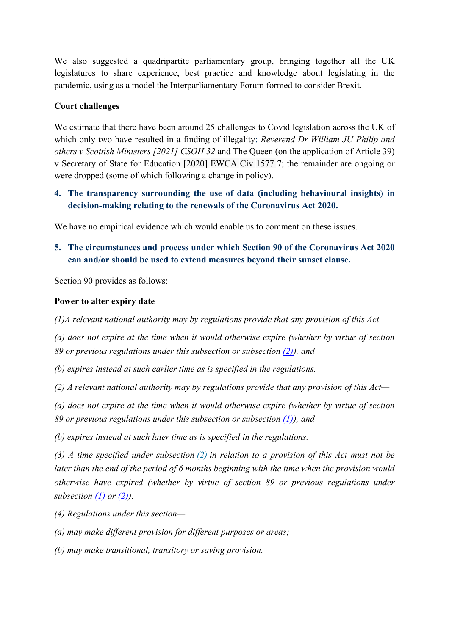We also suggested a quadripartite parliamentary group, bringing together all the UK legislatures to share experience, best practice and knowledge about legislating in the pandemic, using as a model the Interparliamentary Forum formed to consider Brexit.

### **Court challenges**

We estimate that there have been around 25 challenges to Covid legislation across the UK of which only two have resulted in a finding of illegality: *Reverend Dr William JU Philip and others v Scottish Ministers [2021] CSOH 32* and The Queen (on the application of Article 39) v Secretary of State for Education [2020] EWCA Civ 1577 7; the remainder are ongoing or were dropped (some of which following a change in policy).

**4. The transparency surrounding the use of data (including behavioural insights) in decision-making relating to the renewals of the Coronavirus Act 2020.**

We have no empirical evidence which would enable us to comment on these issues.

**5. The circumstances and process under which Section 90 of the Coronavirus Act 2020 can and/or should be used to extend measures beyond their sunset clause.**

Section 90 provides as follows:

### **Power to alter expiry date**

*(1)A relevant national authority may by regulations provide that any provision of this Act—*

*(a) does not expire at the time when it would otherwise expire (whether by virtue of section 89 or previous regulations under this subsection or subsection [\(2\)\)](https://www.legislation.gov.uk/ukpga/2020/7/section/90/enacted#section-90-2), and*

*(b) expires instead at such earlier time as is specified in the regulations.*

*(2) A relevant national authority may by regulations provide that any provision of this Act—*

*(a) does not expire at the time when it would otherwise expire (whether by virtue of section 89 or previous regulations under this subsection or subsection [\(1\)\)](https://www.legislation.gov.uk/ukpga/2020/7/section/90/enacted#section-90-1), and*

*(b) expires instead at such later time as is specified in the regulations.*

*(3) A time specified under subsection [\(2\)](https://www.legislation.gov.uk/ukpga/2020/7/section/90/enacted#section-90-2) in relation to a provision of this Act must not be later than the end of the period of 6 months beginning with the time when the provision would otherwise have expired (whether by virtue of section 89 or previous regulations under subsection [\(1\)](https://www.legislation.gov.uk/ukpga/2020/7/section/90/enacted#section-90-1) or [\(2\)](https://www.legislation.gov.uk/ukpga/2020/7/section/90/enacted#section-90-2)).*

*(4) Regulations under this section—*

*(a) may make different provision for different purposes or areas;*

*(b) may make transitional, transitory or saving provision.*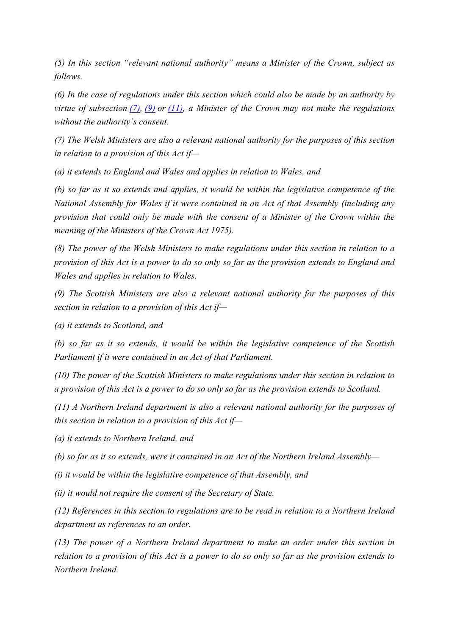*(5) In this section "relevant national authority" means a Minister of the Crown, subject as follows.*

*(6) In the case of regulations under this section which could also be made by an authority by virtue of subsection [\(7\),](https://www.legislation.gov.uk/ukpga/2020/7/section/90/enacted#section-90-7) [\(9\)](https://www.legislation.gov.uk/ukpga/2020/7/section/90/enacted#section-90-9) or [\(11\)](https://www.legislation.gov.uk/ukpga/2020/7/section/90/enacted#section-90-11), a Minister of the Crown may not make the regulations without the authority's consent.*

*(7) The Welsh Ministers are also a relevant national authority for the purposes of this section in relation to a provision of this Act if—*

*(a) it extends to England and Wales and applies in relation to Wales, and*

*(b) so far as it so extends and applies, it would be within the legislative competence of the National Assembly for Wales if it were contained in an Act of that Assembly (including any provision that could only be made with the consent of a Minister of the Crown within the meaning of the Ministers of the Crown Act 1975).*

*(8) The power of the Welsh Ministers to make regulations under this section in relation to a* provision of this Act is a power to do so only so far as the provision extends to England and *Wales and applies in relation to Wales.*

*(9) The Scottish Ministers are also a relevant national authority for the purposes of this section in relation to a provision of this Act if—*

*(a) it extends to Scotland, and*

*(b) so far as it so extends, it would be within the legislative competence of the Scottish Parliament if it were contained in an Act of that Parliament.*

*(10) The power of the Scottish Ministers to make regulations under this section in relation to* a provision of this Act is a power to do so only so far as the provision extends to Scotland.

*(11) A Northern Ireland department is also a relevant national authority for the purposes of this section in relation to a provision of this Act if—*

*(a) it extends to Northern Ireland, and*

*(b) so far as it so extends, were it contained in an Act of the Northern Ireland Assembly—*

*(i) it would be within the legislative competence of that Assembly, and*

*(ii) it would not require the consent of the Secretary of State.*

*(12) References in this section to regulations are to be read in relation to a Northern Ireland department as references to an order.*

*(13) The power of a Northern Ireland department to make an order under this section in* relation to a provision of this Act is a power to do so only so far as the provision extends to *Northern Ireland.*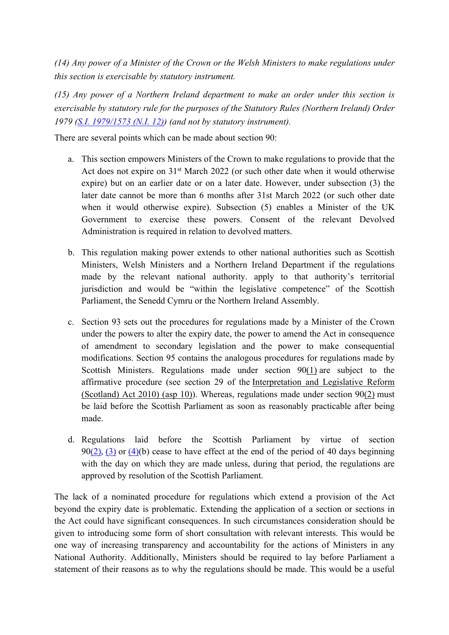*(14) Any power of a Minister of the Crown or the Welsh Ministers to make regulations under this section is exercisable by statutory instrument.*

*(15) Any power of a Northern Ireland department to make an order under this section is exercisable by statutory rule for the purposes of the Statutory Rules (Northern Ireland) Order 1979 ([S.I.](https://www.legislation.gov.uk/id/nisi/1979/1573) [1979/1573](https://www.legislation.gov.uk/id/nisi/1979/1573) [\(N.I.](https://www.legislation.gov.uk/id/nisi/1979/1573) [12\)](https://www.legislation.gov.uk/id/nisi/1979/1573)) (and not by statutory instrument).*

There are several points which can be made about section 90:

- a. This section empowers Ministers of the Crown to make regulations to provide that the Act does not expire on 31<sup>st</sup> March 2022 (or such other date when it would otherwise expire) but on an earlier date or on a later date. However, under subsection (3) the later date cannot be more than 6 months after 31st March 2022 (or such other date when it would otherwise expire). Subsection (5) enables a Minister of the UK Government to exercise these powers. Consent of the relevant Devolved Administration is required in relation to devolved matters.
- b. This regulation making power extends to other national authorities such as Scottish Ministers, Welsh Ministers and a Northern Ireland Department if the regulations made by the relevant national authority. apply to that authority's territorial jurisdiction and would be "within the legislative competence" of the Scottish Parliament, the Senedd Cymru or the Northern Ireland Assembly.
- c. Section 93 sets out the procedures for regulations made by a Minister of the Crown under the powers to alter the expiry date, the power to amend the Act in consequence of amendment to secondary legislation and the power to make consequential modifications. Section 95 contains the analogous procedures for regulations made by Scottish Ministers. Regulations made under section  $90(1)$  $90(1)$  are subject to the affirmative procedure (see section 29 of the [Interpretation](https://www.legislation.gov.uk/id/asp/2010/10) [and](https://www.legislation.gov.uk/id/asp/2010/10) [Legislative](https://www.legislation.gov.uk/id/asp/2010/10) [Reform](https://www.legislation.gov.uk/id/asp/2010/10) [\(Scotland\)](https://www.legislation.gov.uk/id/asp/2010/10) [Act](https://www.legislation.gov.uk/id/asp/2010/10) [2010\)](https://www.legislation.gov.uk/id/asp/2010/10) [\(asp](https://www.legislation.gov.uk/id/asp/2010/10) [10\)\)](https://www.legislation.gov.uk/id/asp/2010/10). Whereas, regulations made under section 90[\(2\)](https://www.legislation.gov.uk/ukpga/2020/7/section/95/enacted) must be laid before the Scottish Parliament as soon as reasonably practicable after being made.
- d. Regulations laid before the Scottish Parliament by virtue of section  $90(2)$ , [\(3\)](https://www.legislation.gov.uk/ukpga/2020/7/section/95/enacted#section-95-3) or [\(4\)\(](https://www.legislation.gov.uk/ukpga/2020/7/section/95/enacted#section-95-4)b) cease to have effect at the end of the period of 40 days beginning with the day on which they are made unless, during that period, the regulations are approved by resolution of the Scottish Parliament.

The lack of a nominated procedure for regulations which extend a provision of the Act beyond the expiry date is problematic. Extending the application of a section or sections in the Act could have significant consequences. In such circumstances consideration should be given to introducing some form of short consultation with relevant interests. This would be one way of increasing transparency and accountability for the actions of Ministers in any National Authority. Additionally, Ministers should be required to lay before Parliament a statement of their reasons as to why the regulations should be made. This would be a useful